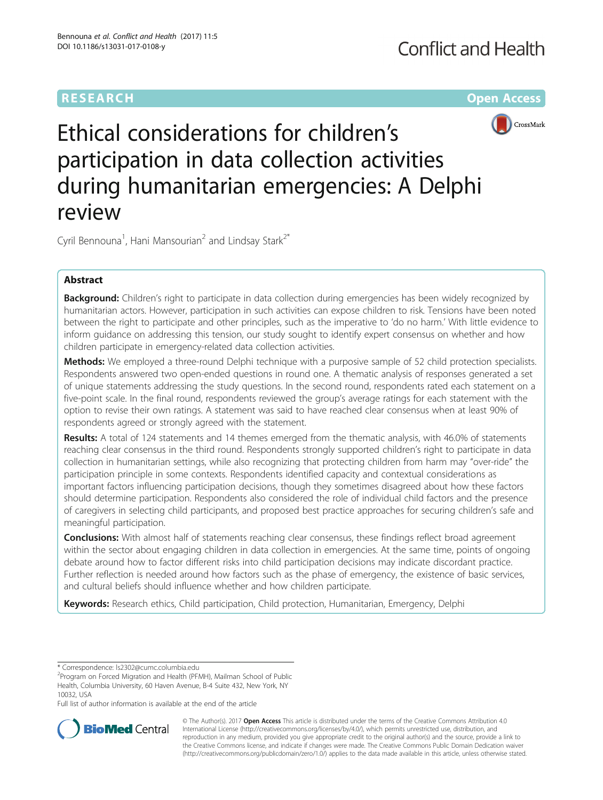## **RESEARCH CHEAR CHEAR CHEAR CHEAR CHEAR CHEAR CHEAR CHEAR CHEAR CHEAR CHEAR CHEAR CHEAR CHEAR CHEAR CHEAR CHEAR**



Ethical considerations for children's participation in data collection activities during humanitarian emergencies: A Delphi review

Cyril Bennouna<sup>1</sup>, Hani Mansourian<sup>2</sup> and Lindsay Stark<sup>2\*</sup>

## Abstract

Background: Children's right to participate in data collection during emergencies has been widely recognized by humanitarian actors. However, participation in such activities can expose children to risk. Tensions have been noted between the right to participate and other principles, such as the imperative to 'do no harm.' With little evidence to inform guidance on addressing this tension, our study sought to identify expert consensus on whether and how children participate in emergency-related data collection activities.

**Methods:** We employed a three-round Delphi technique with a purposive sample of 52 child protection specialists. Respondents answered two open-ended questions in round one. A thematic analysis of responses generated a set of unique statements addressing the study questions. In the second round, respondents rated each statement on a five-point scale. In the final round, respondents reviewed the group's average ratings for each statement with the option to revise their own ratings. A statement was said to have reached clear consensus when at least 90% of respondents agreed or strongly agreed with the statement.

Results: A total of 124 statements and 14 themes emerged from the thematic analysis, with 46.0% of statements reaching clear consensus in the third round. Respondents strongly supported children's right to participate in data collection in humanitarian settings, while also recognizing that protecting children from harm may "over-ride" the participation principle in some contexts. Respondents identified capacity and contextual considerations as important factors influencing participation decisions, though they sometimes disagreed about how these factors should determine participation. Respondents also considered the role of individual child factors and the presence of caregivers in selecting child participants, and proposed best practice approaches for securing children's safe and meaningful participation.

**Conclusions:** With almost half of statements reaching clear consensus, these findings reflect broad agreement within the sector about engaging children in data collection in emergencies. At the same time, points of ongoing debate around how to factor different risks into child participation decisions may indicate discordant practice. Further reflection is needed around how factors such as the phase of emergency, the existence of basic services, and cultural beliefs should influence whether and how children participate.

Keywords: Research ethics, Child participation, Child protection, Humanitarian, Emergency, Delphi

\* Correspondence: [ls2302@cumc.columbia.edu](mailto:ls2302@cumc.columbia.edu) <sup>2</sup>

<sup>2</sup>Program on Forced Migration and Health (PFMH), Mailman School of Public Health, Columbia University, 60 Haven Avenue, B-4 Suite 432, New York, NY 10032, USA

Full list of author information is available at the end of the article



© The Author(s). 2017 **Open Access** This article is distributed under the terms of the Creative Commons Attribution 4.0 International License [\(http://creativecommons.org/licenses/by/4.0/](http://creativecommons.org/licenses/by/4.0/)), which permits unrestricted use, distribution, and reproduction in any medium, provided you give appropriate credit to the original author(s) and the source, provide a link to the Creative Commons license, and indicate if changes were made. The Creative Commons Public Domain Dedication waiver [\(http://creativecommons.org/publicdomain/zero/1.0/](http://creativecommons.org/publicdomain/zero/1.0/)) applies to the data made available in this article, unless otherwise stated.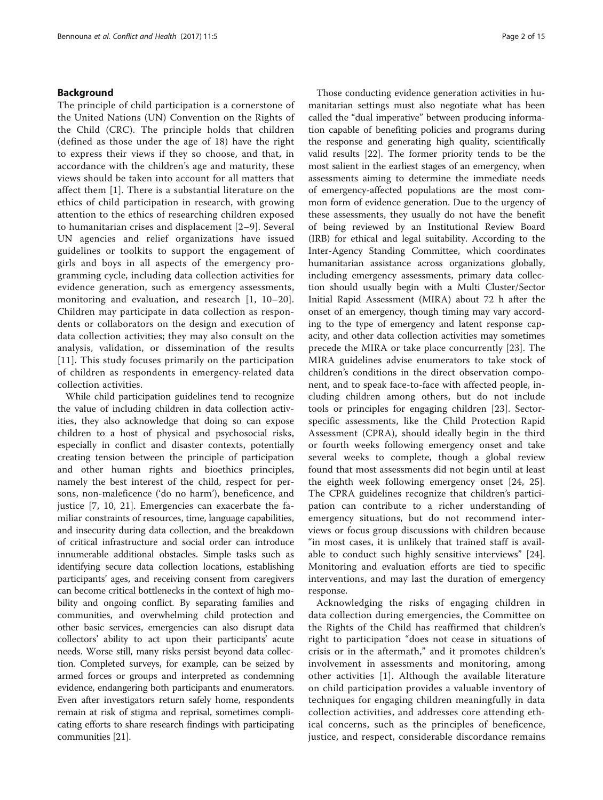## Background

The principle of child participation is a cornerstone of the United Nations (UN) Convention on the Rights of the Child (CRC). The principle holds that children (defined as those under the age of 18) have the right to express their views if they so choose, and that, in accordance with the children's age and maturity, these views should be taken into account for all matters that affect them [[1\]](#page-13-0). There is a substantial literature on the ethics of child participation in research, with growing attention to the ethics of researching children exposed to humanitarian crises and displacement [[2](#page-13-0)–[9\]](#page-13-0). Several UN agencies and relief organizations have issued guidelines or toolkits to support the engagement of girls and boys in all aspects of the emergency programming cycle, including data collection activities for evidence generation, such as emergency assessments, monitoring and evaluation, and research [[1](#page-13-0), [10](#page-13-0)–[20](#page-13-0)]. Children may participate in data collection as respondents or collaborators on the design and execution of data collection activities; they may also consult on the analysis, validation, or dissemination of the results [[11](#page-13-0)]. This study focuses primarily on the participation of children as respondents in emergency-related data collection activities.

While child participation guidelines tend to recognize the value of including children in data collection activities, they also acknowledge that doing so can expose children to a host of physical and psychosocial risks, especially in conflict and disaster contexts, potentially creating tension between the principle of participation and other human rights and bioethics principles, namely the best interest of the child, respect for persons, non-maleficence ('do no harm'), beneficence, and justice [[7, 10](#page-13-0), [21\]](#page-13-0). Emergencies can exacerbate the familiar constraints of resources, time, language capabilities, and insecurity during data collection, and the breakdown of critical infrastructure and social order can introduce innumerable additional obstacles. Simple tasks such as identifying secure data collection locations, establishing participants' ages, and receiving consent from caregivers can become critical bottlenecks in the context of high mobility and ongoing conflict. By separating families and communities, and overwhelming child protection and other basic services, emergencies can also disrupt data collectors' ability to act upon their participants' acute needs. Worse still, many risks persist beyond data collection. Completed surveys, for example, can be seized by armed forces or groups and interpreted as condemning evidence, endangering both participants and enumerators. Even after investigators return safely home, respondents remain at risk of stigma and reprisal, sometimes complicating efforts to share research findings with participating communities [[21](#page-13-0)].

Those conducting evidence generation activities in humanitarian settings must also negotiate what has been called the "dual imperative" between producing information capable of benefiting policies and programs during the response and generating high quality, scientifically valid results [\[22](#page-13-0)]. The former priority tends to be the most salient in the earliest stages of an emergency, when assessments aiming to determine the immediate needs of emergency-affected populations are the most common form of evidence generation. Due to the urgency of these assessments, they usually do not have the benefit of being reviewed by an Institutional Review Board (IRB) for ethical and legal suitability. According to the Inter-Agency Standing Committee, which coordinates humanitarian assistance across organizations globally, including emergency assessments, primary data collection should usually begin with a Multi Cluster/Sector Initial Rapid Assessment (MIRA) about 72 h after the onset of an emergency, though timing may vary according to the type of emergency and latent response capacity, and other data collection activities may sometimes precede the MIRA or take place concurrently [\[23](#page-13-0)]. The MIRA guidelines advise enumerators to take stock of children's conditions in the direct observation component, and to speak face-to-face with affected people, including children among others, but do not include tools or principles for engaging children [[23\]](#page-13-0). Sectorspecific assessments, like the Child Protection Rapid Assessment (CPRA), should ideally begin in the third or fourth weeks following emergency onset and take several weeks to complete, though a global review found that most assessments did not begin until at least the eighth week following emergency onset [[24, 25](#page-13-0)]. The CPRA guidelines recognize that children's participation can contribute to a richer understanding of emergency situations, but do not recommend interviews or focus group discussions with children because "in most cases, it is unlikely that trained staff is available to conduct such highly sensitive interviews" [\[24](#page-13-0)]. Monitoring and evaluation efforts are tied to specific interventions, and may last the duration of emergency response.

Acknowledging the risks of engaging children in data collection during emergencies, the Committee on the Rights of the Child has reaffirmed that children's right to participation "does not cease in situations of crisis or in the aftermath," and it promotes children's involvement in assessments and monitoring, among other activities [\[1](#page-13-0)]. Although the available literature on child participation provides a valuable inventory of techniques for engaging children meaningfully in data collection activities, and addresses core attending ethical concerns, such as the principles of beneficence, justice, and respect, considerable discordance remains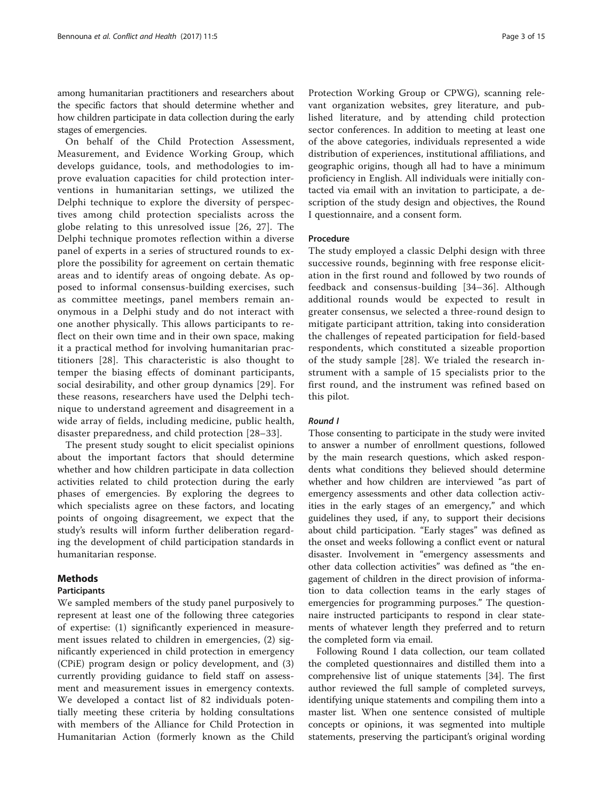among humanitarian practitioners and researchers about the specific factors that should determine whether and how children participate in data collection during the early stages of emergencies.

On behalf of the Child Protection Assessment, Measurement, and Evidence Working Group, which develops guidance, tools, and methodologies to improve evaluation capacities for child protection interventions in humanitarian settings, we utilized the Delphi technique to explore the diversity of perspectives among child protection specialists across the globe relating to this unresolved issue [[26](#page-13-0), [27](#page-13-0)]. The Delphi technique promotes reflection within a diverse panel of experts in a series of structured rounds to explore the possibility for agreement on certain thematic areas and to identify areas of ongoing debate. As opposed to informal consensus-building exercises, such as committee meetings, panel members remain anonymous in a Delphi study and do not interact with one another physically. This allows participants to reflect on their own time and in their own space, making it a practical method for involving humanitarian practitioners [[28](#page-13-0)]. This characteristic is also thought to temper the biasing effects of dominant participants, social desirability, and other group dynamics [[29](#page-13-0)]. For these reasons, researchers have used the Delphi technique to understand agreement and disagreement in a wide array of fields, including medicine, public health, disaster preparedness, and child protection [[28](#page-13-0)–[33](#page-14-0)].

The present study sought to elicit specialist opinions about the important factors that should determine whether and how children participate in data collection activities related to child protection during the early phases of emergencies. By exploring the degrees to which specialists agree on these factors, and locating points of ongoing disagreement, we expect that the study's results will inform further deliberation regarding the development of child participation standards in humanitarian response.

### Methods

#### Participants

We sampled members of the study panel purposively to represent at least one of the following three categories of expertise: (1) significantly experienced in measurement issues related to children in emergencies, (2) significantly experienced in child protection in emergency (CPiE) program design or policy development, and (3) currently providing guidance to field staff on assessment and measurement issues in emergency contexts. We developed a contact list of 82 individuals potentially meeting these criteria by holding consultations with members of the Alliance for Child Protection in Humanitarian Action (formerly known as the Child

Protection Working Group or CPWG), scanning relevant organization websites, grey literature, and published literature, and by attending child protection sector conferences. In addition to meeting at least one of the above categories, individuals represented a wide distribution of experiences, institutional affiliations, and geographic origins, though all had to have a minimum proficiency in English. All individuals were initially contacted via email with an invitation to participate, a description of the study design and objectives, the Round I questionnaire, and a consent form.

#### Procedure

The study employed a classic Delphi design with three successive rounds, beginning with free response elicitation in the first round and followed by two rounds of feedback and consensus-building [[34](#page-14-0)–[36](#page-14-0)]. Although additional rounds would be expected to result in greater consensus, we selected a three-round design to mitigate participant attrition, taking into consideration the challenges of repeated participation for field-based respondents, which constituted a sizeable proportion of the study sample [[28](#page-13-0)]. We trialed the research instrument with a sample of 15 specialists prior to the first round, and the instrument was refined based on this pilot.

#### Round I

Those consenting to participate in the study were invited to answer a number of enrollment questions, followed by the main research questions, which asked respondents what conditions they believed should determine whether and how children are interviewed "as part of emergency assessments and other data collection activities in the early stages of an emergency," and which guidelines they used, if any, to support their decisions about child participation. "Early stages" was defined as the onset and weeks following a conflict event or natural disaster. Involvement in "emergency assessments and other data collection activities" was defined as "the engagement of children in the direct provision of information to data collection teams in the early stages of emergencies for programming purposes." The questionnaire instructed participants to respond in clear statements of whatever length they preferred and to return the completed form via email.

Following Round I data collection, our team collated the completed questionnaires and distilled them into a comprehensive list of unique statements [[34\]](#page-14-0). The first author reviewed the full sample of completed surveys, identifying unique statements and compiling them into a master list. When one sentence consisted of multiple concepts or opinions, it was segmented into multiple statements, preserving the participant's original wording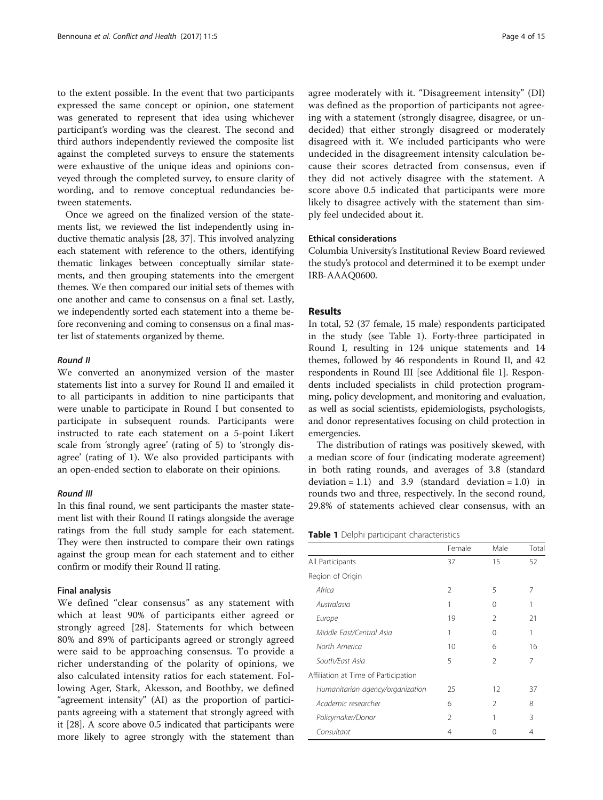to the extent possible. In the event that two participants expressed the same concept or opinion, one statement was generated to represent that idea using whichever participant's wording was the clearest. The second and third authors independently reviewed the composite list against the completed surveys to ensure the statements were exhaustive of the unique ideas and opinions conveyed through the completed survey, to ensure clarity of wording, and to remove conceptual redundancies between statements.

Once we agreed on the finalized version of the statements list, we reviewed the list independently using inductive thematic analysis [\[28,](#page-13-0) [37\]](#page-14-0). This involved analyzing each statement with reference to the others, identifying thematic linkages between conceptually similar statements, and then grouping statements into the emergent themes. We then compared our initial sets of themes with one another and came to consensus on a final set. Lastly, we independently sorted each statement into a theme before reconvening and coming to consensus on a final master list of statements organized by theme.

#### Round II

We converted an anonymized version of the master statements list into a survey for Round II and emailed it to all participants in addition to nine participants that were unable to participate in Round I but consented to participate in subsequent rounds. Participants were instructed to rate each statement on a 5-point Likert scale from 'strongly agree' (rating of 5) to 'strongly disagree' (rating of 1). We also provided participants with an open-ended section to elaborate on their opinions.

#### Round III

In this final round, we sent participants the master statement list with their Round II ratings alongside the average ratings from the full study sample for each statement. They were then instructed to compare their own ratings against the group mean for each statement and to either confirm or modify their Round II rating.

#### Final analysis

We defined "clear consensus" as any statement with which at least 90% of participants either agreed or strongly agreed [\[28](#page-13-0)]. Statements for which between 80% and 89% of participants agreed or strongly agreed were said to be approaching consensus. To provide a richer understanding of the polarity of opinions, we also calculated intensity ratios for each statement. Following Ager, Stark, Akesson, and Boothby, we defined "agreement intensity" (AI) as the proportion of participants agreeing with a statement that strongly agreed with it [[28](#page-13-0)]. A score above 0.5 indicated that participants were more likely to agree strongly with the statement than agree moderately with it. "Disagreement intensity" (DI) was defined as the proportion of participants not agreeing with a statement (strongly disagree, disagree, or undecided) that either strongly disagreed or moderately disagreed with it. We included participants who were undecided in the disagreement intensity calculation because their scores detracted from consensus, even if they did not actively disagree with the statement. A score above 0.5 indicated that participants were more likely to disagree actively with the statement than simply feel undecided about it.

#### Ethical considerations

Columbia University's Institutional Review Board reviewed the study's protocol and determined it to be exempt under IRB-AAAQ0600.

#### Results

In total, 52 (37 female, 15 male) respondents participated in the study (see Table 1). Forty-three participated in Round I, resulting in 124 unique statements and 14 themes, followed by 46 respondents in Round II, and 42 respondents in Round III [see Additional file [1\]](#page-13-0). Respondents included specialists in child protection programming, policy development, and monitoring and evaluation, as well as social scientists, epidemiologists, psychologists, and donor representatives focusing on child protection in emergencies.

The distribution of ratings was positively skewed, with a median score of four (indicating moderate agreement) in both rating rounds, and averages of 3.8 (standard deviation =  $1.1$ ) and  $3.9$  (standard deviation =  $1.0$ ) in rounds two and three, respectively. In the second round, 29.8% of statements achieved clear consensus, with an

|                                      | Female         | Male           | Total          |
|--------------------------------------|----------------|----------------|----------------|
| All Participants                     | 37             | 15             | 52             |
| Region of Origin                     |                |                |                |
| Africa                               | $\overline{2}$ | 5              | 7              |
| Australasia                          | 1              | 0              |                |
| Europe                               | 19             | $\mathcal{P}$  | 21             |
| Middle East/Central Asia             | 1              | 0              | 1              |
| North America                        | $10 \,$        | 6              | 16             |
| South/Fast Asia                      | 5              | $\mathfrak{D}$ | 7              |
| Affiliation at Time of Participation |                |                |                |
| Humanitarian agency/organization     | 25             | 12             | 37             |
| Academic researcher                  | 6              | 2              | 8              |
| Policymaker/Donor                    | $\mathfrak{D}$ | 1              | 3              |
| Consultant                           | 4              | Ω              | $\overline{4}$ |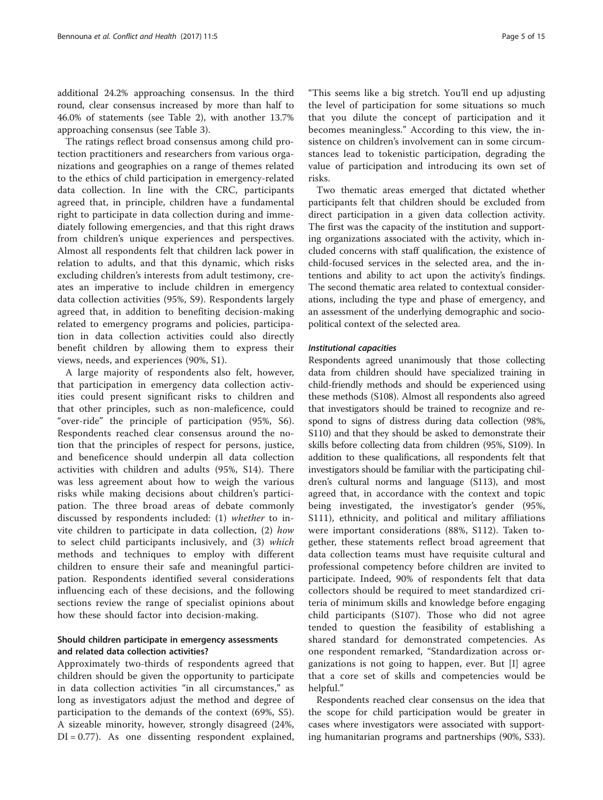additional 24.2% approaching consensus. In the third round, clear consensus increased by more than half to 46.0% of statements (see Table [2](#page-5-0)), with another 13.7% approaching consensus (see Table [3\)](#page-8-0).

The ratings reflect broad consensus among child protection practitioners and researchers from various organizations and geographies on a range of themes related to the ethics of child participation in emergency-related data collection. In line with the CRC, participants agreed that, in principle, children have a fundamental right to participate in data collection during and immediately following emergencies, and that this right draws from children's unique experiences and perspectives. Almost all respondents felt that children lack power in relation to adults, and that this dynamic, which risks excluding children's interests from adult testimony, creates an imperative to include children in emergency data collection activities (95%, S9). Respondents largely agreed that, in addition to benefiting decision-making related to emergency programs and policies, participation in data collection activities could also directly benefit children by allowing them to express their views, needs, and experiences (90%, S1).

A large majority of respondents also felt, however, that participation in emergency data collection activities could present significant risks to children and that other principles, such as non-maleficence, could "over-ride" the principle of participation (95%, S6). Respondents reached clear consensus around the notion that the principles of respect for persons, justice, and beneficence should underpin all data collection activities with children and adults (95%, S14). There was less agreement about how to weigh the various risks while making decisions about children's participation. The three broad areas of debate commonly discussed by respondents included: (1) whether to invite children to participate in data collection, (2) how to select child participants inclusively, and (3) which methods and techniques to employ with different children to ensure their safe and meaningful participation. Respondents identified several considerations influencing each of these decisions, and the following sections review the range of specialist opinions about how these should factor into decision-making.

## Should children participate in emergency assessments and related data collection activities?

Approximately two-thirds of respondents agreed that children should be given the opportunity to participate in data collection activities "in all circumstances," as long as investigators adjust the method and degree of participation to the demands of the context (69%, S5). A sizeable minority, however, strongly disagreed (24%,  $DI = 0.77$ ). As one dissenting respondent explained,

"This seems like a big stretch. You'll end up adjusting the level of participation for some situations so much that you dilute the concept of participation and it becomes meaningless." According to this view, the insistence on children's involvement can in some circumstances lead to tokenistic participation, degrading the value of participation and introducing its own set of

Two thematic areas emerged that dictated whether participants felt that children should be excluded from direct participation in a given data collection activity. The first was the capacity of the institution and supporting organizations associated with the activity, which included concerns with staff qualification, the existence of child-focused services in the selected area, and the intentions and ability to act upon the activity's findings. The second thematic area related to contextual considerations, including the type and phase of emergency, and an assessment of the underlying demographic and sociopolitical context of the selected area.

#### Institutional capacities

risks.

Respondents agreed unanimously that those collecting data from children should have specialized training in child-friendly methods and should be experienced using these methods (S108). Almost all respondents also agreed that investigators should be trained to recognize and respond to signs of distress during data collection (98%, S110) and that they should be asked to demonstrate their skills before collecting data from children (95%, S109). In addition to these qualifications, all respondents felt that investigators should be familiar with the participating children's cultural norms and language (S113), and most agreed that, in accordance with the context and topic being investigated, the investigator's gender (95%, S111), ethnicity, and political and military affiliations were important considerations (88%, S112). Taken together, these statements reflect broad agreement that data collection teams must have requisite cultural and professional competency before children are invited to participate. Indeed, 90% of respondents felt that data collectors should be required to meet standardized criteria of minimum skills and knowledge before engaging child participants (S107). Those who did not agree tended to question the feasibility of establishing a shared standard for demonstrated competencies. As one respondent remarked, "Standardization across organizations is not going to happen, ever. But [I] agree that a core set of skills and competencies would be helpful."

Respondents reached clear consensus on the idea that the scope for child participation would be greater in cases where investigators were associated with supporting humanitarian programs and partnerships (90%, S33).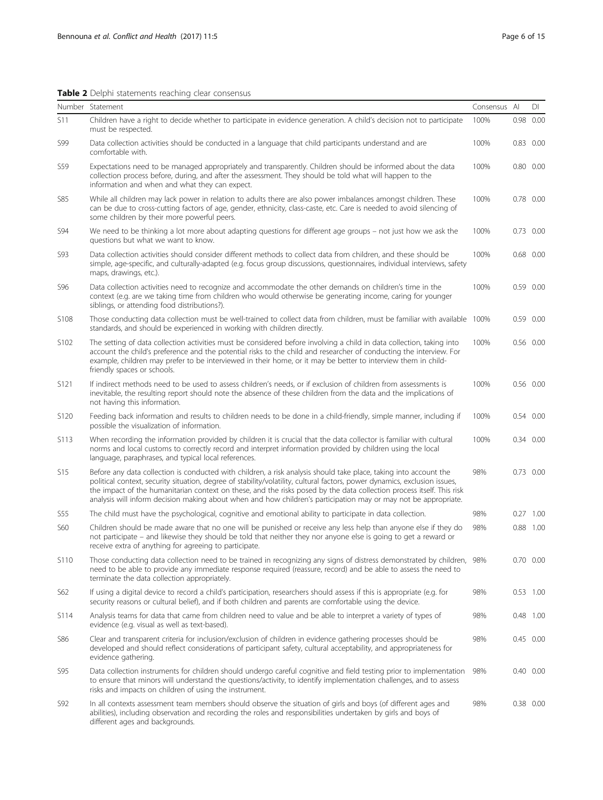<span id="page-5-0"></span>

| Table 2 Delphi statements reaching clear consensus |  |  |  |
|----------------------------------------------------|--|--|--|
|----------------------------------------------------|--|--|--|

|                 | Number Statement                                                                                                                                                                                                                                                                                                                                                                                                                                                                            | Consensus Al | DI            |
|-----------------|---------------------------------------------------------------------------------------------------------------------------------------------------------------------------------------------------------------------------------------------------------------------------------------------------------------------------------------------------------------------------------------------------------------------------------------------------------------------------------------------|--------------|---------------|
| S11             | Children have a right to decide whether to participate in evidence generation. A child's decision not to participate<br>must be respected.                                                                                                                                                                                                                                                                                                                                                  | 100%         | 0.98 0.00     |
| S99             | Data collection activities should be conducted in a language that child participants understand and are<br>comfortable with.                                                                                                                                                                                                                                                                                                                                                                | 100%         | 0.83 0.00     |
| S59             | Expectations need to be managed appropriately and transparently. Children should be informed about the data<br>collection process before, during, and after the assessment. They should be told what will happen to the<br>information and when and what they can expect.                                                                                                                                                                                                                   | 100%         | $0.80$ $0.00$ |
| <b>S85</b>      | While all children may lack power in relation to adults there are also power imbalances amongst children. These<br>can be due to cross-cutting factors of age, gender, ethnicity, class-caste, etc. Care is needed to avoid silencing of<br>some children by their more powerful peers.                                                                                                                                                                                                     | 100%         | 0.78 0.00     |
| S94             | We need to be thinking a lot more about adapting questions for different age groups – not just how we ask the<br>questions but what we want to know.                                                                                                                                                                                                                                                                                                                                        | 100%         | 0.73 0.00     |
| S93             | Data collection activities should consider different methods to collect data from children, and these should be<br>simple, age-specific, and culturally-adapted (e.g. focus group discussions, questionnaires, individual interviews, safety<br>maps, drawings, etc.).                                                                                                                                                                                                                      | 100%         | 0.68 0.00     |
| S96             | Data collection activities need to recognize and accommodate the other demands on children's time in the<br>context (e.g. are we taking time from children who would otherwise be generating income, caring for younger<br>siblings, or attending food distributions?).                                                                                                                                                                                                                     | 100%         | 0.59 0.00     |
| S108            | Those conducting data collection must be well-trained to collect data from children, must be familiar with available 100%<br>standards, and should be experienced in working with children directly.                                                                                                                                                                                                                                                                                        |              | 0.59 0.00     |
| S102            | The setting of data collection activities must be considered before involving a child in data collection, taking into<br>account the child's preference and the potential risks to the child and researcher of conducting the interview. For<br>example, children may prefer to be interviewed in their home, or it may be better to interview them in child-<br>friendly spaces or schools.                                                                                                | 100%         | 0.56 0.00     |
| S121            | If indirect methods need to be used to assess children's needs, or if exclusion of children from assessments is<br>inevitable, the resulting report should note the absence of these children from the data and the implications of<br>not having this information.                                                                                                                                                                                                                         | 100%         | 0.56 0.00     |
| S120            | Feeding back information and results to children needs to be done in a child-friendly, simple manner, including if<br>possible the visualization of information.                                                                                                                                                                                                                                                                                                                            | 100%         | 0.54 0.00     |
| S113            | When recording the information provided by children it is crucial that the data collector is familiar with cultural<br>norms and local customs to correctly record and interpret information provided by children using the local<br>language, paraphrases, and typical local references.                                                                                                                                                                                                   | 100%         | 0.34 0.00     |
| S <sub>15</sub> | Before any data collection is conducted with children, a risk analysis should take place, taking into account the<br>political context, security situation, degree of stability/volatility, cultural factors, power dynamics, exclusion issues,<br>the impact of the humanitarian context on these, and the risks posed by the data collection process itself. This risk<br>analysis will inform decision making about when and how children's participation may or may not be appropriate. | 98%          | 0.73 0.00     |
| S55             | The child must have the psychological, cognitive and emotional ability to participate in data collection.                                                                                                                                                                                                                                                                                                                                                                                   | 98%          | $0.27$ 1.00   |
| S60             | Children should be made aware that no one will be punished or receive any less help than anyone else if they do<br>not participate - and likewise they should be told that neither they nor anyone else is going to get a reward or<br>receive extra of anything for agreeing to participate.                                                                                                                                                                                               | 98%          | 0.88 1.00     |
| S110            | Those conducting data collection need to be trained in recognizing any signs of distress demonstrated by children, 98%<br>need to be able to provide any immediate response required (reassure, record) and be able to assess the need to<br>terminate the data collection appropriately.                                                                                                                                                                                                   |              | $0.70$ $0.00$ |
| S62             | If using a digital device to record a child's participation, researchers should assess if this is appropriate (e.g. for<br>security reasons or cultural belief), and if both children and parents are comfortable using the device.                                                                                                                                                                                                                                                         | 98%          | 0.53 1.00     |
| S114            | Analysis teams for data that came from children need to value and be able to interpret a variety of types of<br>evidence (e.g. visual as well as text-based).                                                                                                                                                                                                                                                                                                                               | 98%          | 0.48 1.00     |
| S86             | Clear and transparent criteria for inclusion/exclusion of children in evidence gathering processes should be<br>developed and should reflect considerations of participant safety, cultural acceptability, and appropriateness for<br>evidence gathering.                                                                                                                                                                                                                                   | 98%          | 0.45 0.00     |
| S95             | Data collection instruments for children should undergo careful cognitive and field testing prior to implementation<br>to ensure that minors will understand the questions/activity, to identify implementation challenges, and to assess<br>risks and impacts on children of using the instrument.                                                                                                                                                                                         | 98%          | $0.40$ $0.00$ |
| S92             | In all contexts assessment team members should observe the situation of girls and boys (of different ages and<br>abilities), including observation and recording the roles and responsibilities undertaken by girls and boys of<br>different ages and backgrounds.                                                                                                                                                                                                                          | 98%          | 0.38 0.00     |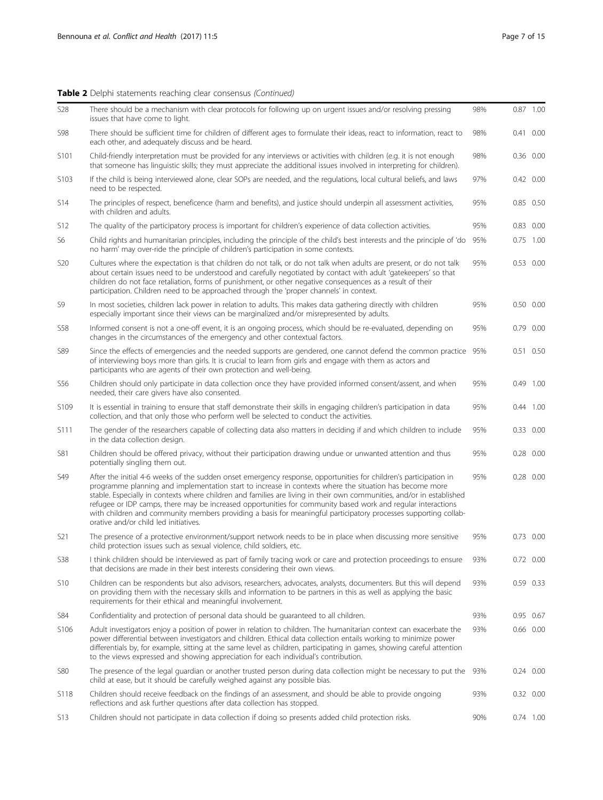| <b>S28</b>        | There should be a mechanism with clear protocols for following up on urgent issues and/or resolving pressing<br>issues that have come to light.                                                                                                                                                                                                                                                                                                                                                                                                                                                                                   | 98% |      | 0.87 1.00   |
|-------------------|-----------------------------------------------------------------------------------------------------------------------------------------------------------------------------------------------------------------------------------------------------------------------------------------------------------------------------------------------------------------------------------------------------------------------------------------------------------------------------------------------------------------------------------------------------------------------------------------------------------------------------------|-----|------|-------------|
| S98               | There should be sufficient time for children of different ages to formulate their ideas, react to information, react to<br>each other, and adequately discuss and be heard.                                                                                                                                                                                                                                                                                                                                                                                                                                                       | 98% |      | 0.41 0.00   |
| S <sub>10</sub> 1 | Child-friendly interpretation must be provided for any interviews or activities with children (e.g. it is not enough<br>that someone has linguistic skills; they must appreciate the additional issues involved in interpreting for children).                                                                                                                                                                                                                                                                                                                                                                                    | 98% |      | 0.36 0.00   |
| S <sub>103</sub>  | If the child is being interviewed alone, clear SOPs are needed, and the regulations, local cultural beliefs, and laws<br>need to be respected.                                                                                                                                                                                                                                                                                                                                                                                                                                                                                    | 97% |      | 0.42 0.00   |
| S14               | The principles of respect, beneficence (harm and benefits), and justice should underpin all assessment activities,<br>with children and adults.                                                                                                                                                                                                                                                                                                                                                                                                                                                                                   | 95% |      | 0.85 0.50   |
| S <sub>12</sub>   | The quality of the participatory process is important for children's experience of data collection activities.                                                                                                                                                                                                                                                                                                                                                                                                                                                                                                                    | 95% |      | 0.83 0.00   |
| S <sub>6</sub>    | Child rights and humanitarian principles, including the principle of the child's best interests and the principle of 'do<br>no harm' may over-ride the principle of children's participation in some contexts.                                                                                                                                                                                                                                                                                                                                                                                                                    | 95% | 0.75 | 1.00        |
| <b>S20</b>        | Cultures where the expectation is that children do not talk, or do not talk when adults are present, or do not talk<br>about certain issues need to be understood and carefully negotiated by contact with adult 'gatekeepers' so that<br>children do not face retaliation, forms of punishment, or other negative consequences as a result of their<br>participation. Children need to be approached through the 'proper channels' in context.                                                                                                                                                                                   | 95% |      | 0.53 0.00   |
| S9                | In most societies, children lack power in relation to adults. This makes data gathering directly with children<br>especially important since their views can be marginalized and/or misrepresented by adults.                                                                                                                                                                                                                                                                                                                                                                                                                     | 95% |      | 0.50 0.00   |
| <b>S58</b>        | Informed consent is not a one-off event, it is an ongoing process, which should be re-evaluated, depending on<br>changes in the circumstances of the emergency and other contextual factors.                                                                                                                                                                                                                                                                                                                                                                                                                                      | 95% |      | 0.79 0.00   |
| S89               | Since the effects of emergencies and the needed supports are gendered, one cannot defend the common practice<br>of interviewing boys more than girls. It is crucial to learn from girls and engage with them as actors and<br>participants who are agents of their own protection and well-being.                                                                                                                                                                                                                                                                                                                                 | 95% |      | 0.51 0.50   |
| S <sub>56</sub>   | Children should only participate in data collection once they have provided informed consent/assent, and when<br>needed, their care givers have also consented.                                                                                                                                                                                                                                                                                                                                                                                                                                                                   | 95% |      | 0.49 1.00   |
| S109              | It is essential in training to ensure that staff demonstrate their skills in engaging children's participation in data<br>collection, and that only those who perform well be selected to conduct the activities.                                                                                                                                                                                                                                                                                                                                                                                                                 | 95% |      | 0.44 1.00   |
| S111              | The gender of the researchers capable of collecting data also matters in deciding if and which children to include<br>in the data collection design.                                                                                                                                                                                                                                                                                                                                                                                                                                                                              | 95% |      | 0.33 0.00   |
| <b>S81</b>        | Children should be offered privacy, without their participation drawing undue or unwanted attention and thus<br>potentially singling them out.                                                                                                                                                                                                                                                                                                                                                                                                                                                                                    | 95% |      | $0.28$ 0.00 |
| S49               | After the initial 4-6 weeks of the sudden onset emergency response, opportunities for children's participation in<br>programme planning and implementation start to increase in contexts where the situation has become more<br>stable. Especially in contexts where children and families are living in their own communities, and/or in established<br>refugee or IDP camps, there may be increased opportunities for community based work and regular interactions<br>with children and community members providing a basis for meaningful participatory processes supporting collab-<br>orative and/or child led initiatives. | 95% |      | $0.28$ 0.00 |
| S21               | The presence of a protective environment/support network needs to be in place when discussing more sensitive<br>child protection issues such as sexual violence, child soldiers, etc.                                                                                                                                                                                                                                                                                                                                                                                                                                             | 95% |      | 0.73 0.00   |
| S38               | I think children should be interviewed as part of family tracing work or care and protection proceedings to ensure<br>that decisions are made in their best interests considering their own views.                                                                                                                                                                                                                                                                                                                                                                                                                                | 93% |      | 0.72 0.00   |
| S <sub>10</sub>   | Children can be respondents but also advisors, researchers, advocates, analysts, documenters. But this will depend<br>on providing them with the necessary skills and information to be partners in this as well as applying the basic<br>requirements for their ethical and meaningful involvement.                                                                                                                                                                                                                                                                                                                              | 93% |      | 0.59 0.33   |
| S84               | Confidentiality and protection of personal data should be quaranteed to all children.                                                                                                                                                                                                                                                                                                                                                                                                                                                                                                                                             | 93% |      | 0.95 0.67   |
| S <sub>106</sub>  | Adult investigators enjoy a position of power in relation to children. The humanitarian context can exacerbate the<br>power differential between investigators and children. Ethical data collection entails working to minimize power<br>differentials by, for example, sitting at the same level as children, participating in games, showing careful attention<br>to the views expressed and showing appreciation for each individual's contribution.                                                                                                                                                                          | 93% |      | $0.66$ 0.00 |
| <b>S80</b>        | The presence of the legal guardian or another trusted person during data collection might be necessary to put the<br>child at ease, but it should be carefully weighed against any possible bias.                                                                                                                                                                                                                                                                                                                                                                                                                                 | 93% |      | $0.24$ 0.00 |
| S <sub>118</sub>  | Children should receive feedback on the findings of an assessment, and should be able to provide ongoing<br>reflections and ask further questions after data collection has stopped.                                                                                                                                                                                                                                                                                                                                                                                                                                              | 93% |      | 0.32 0.00   |
| S13               | Children should not participate in data collection if doing so presents added child protection risks.                                                                                                                                                                                                                                                                                                                                                                                                                                                                                                                             | 90% |      | 0.74 1.00   |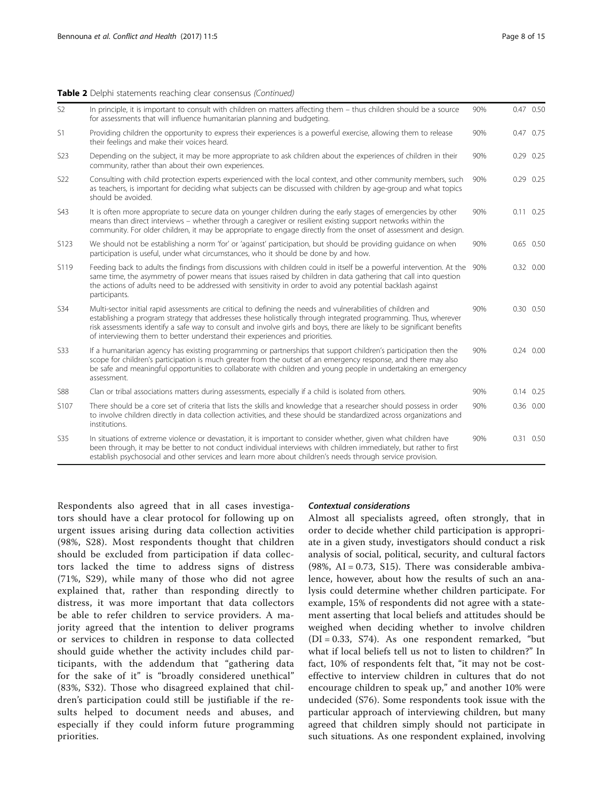#### Table 2 Delphi statements reaching clear consensus (Continued)

| S <sub>2</sub>   | In principle, it is important to consult with children on matters affecting them - thus children should be a source<br>for assessments that will influence humanitarian planning and budgeting.                                                                                                                                                                                                                                             | 90% | 0.47 0.50         |
|------------------|---------------------------------------------------------------------------------------------------------------------------------------------------------------------------------------------------------------------------------------------------------------------------------------------------------------------------------------------------------------------------------------------------------------------------------------------|-----|-------------------|
| S1               | Providing children the opportunity to express their experiences is a powerful exercise, allowing them to release<br>their feelings and make their voices heard.                                                                                                                                                                                                                                                                             | 90% | 0.47 0.75         |
| <b>S23</b>       | Depending on the subject, it may be more appropriate to ask children about the experiences of children in their<br>community, rather than about their own experiences.                                                                                                                                                                                                                                                                      | 90% | $0.29$ 0.25       |
| <b>S22</b>       | Consulting with child protection experts experienced with the local context, and other community members, such<br>as teachers, is important for deciding what subjects can be discussed with children by age-group and what topics<br>should be avoided.                                                                                                                                                                                    | 90% | $0.29$ 0.25       |
| S43              | It is often more appropriate to secure data on younger children during the early stages of emergencies by other<br>means than direct interviews - whether through a caregiver or resilient existing support networks within the<br>community. For older children, it may be appropriate to engage directly from the onset of assessment and design.                                                                                         | 90% | $0.11 \quad 0.25$ |
| S123             | We should not be establishing a norm 'for' or 'against' participation, but should be providing quidance on when<br>participation is useful, under what circumstances, who it should be done by and how.                                                                                                                                                                                                                                     | 90% | $0.65$ 0.50       |
| S119             | Feeding back to adults the findings from discussions with children could in itself be a powerful intervention. At the 90%<br>same time, the asymmetry of power means that issues raised by children in data gathering that call into question<br>the actions of adults need to be addressed with sensitivity in order to avoid any potential backlash against<br>participants.                                                              |     | $0.32$ $0.00$     |
| S34              | Multi-sector initial rapid assessments are critical to defining the needs and vulnerabilities of children and<br>establishing a program strategy that addresses these holistically through integrated programming. Thus, wherever<br>risk assessments identify a safe way to consult and involve girls and boys, there are likely to be significant benefits<br>of interviewing them to better understand their experiences and priorities. | 90% | $0.30$ $0.50$     |
| S33              | If a humanitarian agency has existing programming or partnerships that support children's participation then the<br>scope for children's participation is much greater from the outset of an emergency response, and there may also<br>be safe and meaningful opportunities to collaborate with children and young people in undertaking an emergency<br>assessment.                                                                        | 90% | $0.24$ 0.00       |
| <b>S88</b>       | Clan or tribal associations matters during assessments, especially if a child is isolated from others.                                                                                                                                                                                                                                                                                                                                      | 90% | $0.14$ 0.25       |
| S <sub>107</sub> | There should be a core set of criteria that lists the skills and knowledge that a researcher should possess in order<br>to involve children directly in data collection activities, and these should be standardized across organizations and<br>institutions.                                                                                                                                                                              | 90% | $0.36$ $0.00$     |
| S35              | In situations of extreme violence or devastation, it is important to consider whether, given what children have<br>been through, it may be better to not conduct individual interviews with children immediately, but rather to first<br>establish psychosocial and other services and learn more about children's needs through service provision.                                                                                         | 90% | 0.31 0.50         |

Respondents also agreed that in all cases investigators should have a clear protocol for following up on urgent issues arising during data collection activities (98%, S28). Most respondents thought that children should be excluded from participation if data collectors lacked the time to address signs of distress (71%, S29), while many of those who did not agree explained that, rather than responding directly to distress, it was more important that data collectors be able to refer children to service providers. A majority agreed that the intention to deliver programs or services to children in response to data collected should guide whether the activity includes child participants, with the addendum that "gathering data for the sake of it" is "broadly considered unethical" (83%, S32). Those who disagreed explained that children's participation could still be justifiable if the results helped to document needs and abuses, and especially if they could inform future programming priorities.

#### Contextual considerations

Almost all specialists agreed, often strongly, that in order to decide whether child participation is appropriate in a given study, investigators should conduct a risk analysis of social, political, security, and cultural factors (98%,  $AI = 0.73$ , S15). There was considerable ambivalence, however, about how the results of such an analysis could determine whether children participate. For example, 15% of respondents did not agree with a statement asserting that local beliefs and attitudes should be weighed when deciding whether to involve children (DI = 0.33, S74). As one respondent remarked, "but what if local beliefs tell us not to listen to children?" In fact, 10% of respondents felt that, "it may not be costeffective to interview children in cultures that do not encourage children to speak up," and another 10% were undecided (S76). Some respondents took issue with the particular approach of interviewing children, but many agreed that children simply should not participate in such situations. As one respondent explained, involving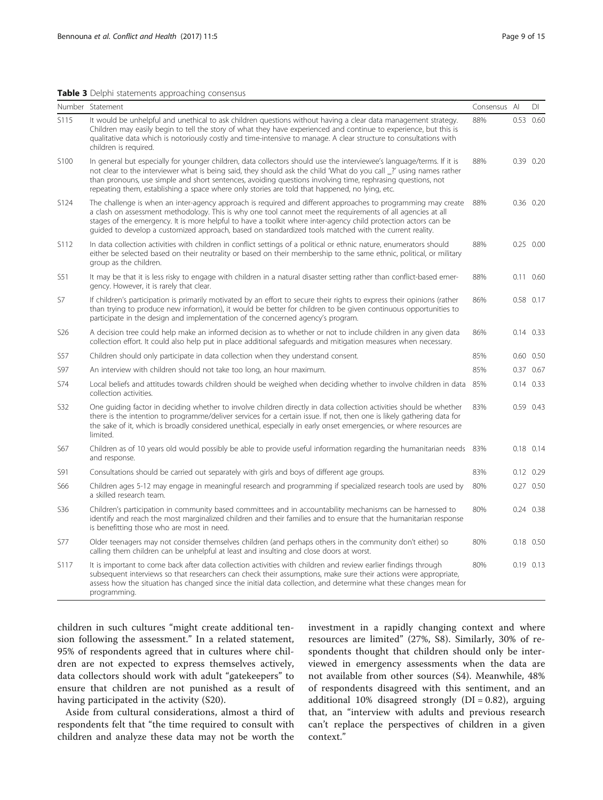<span id="page-8-0"></span>

|  |  |  |  | Table 3 Delphi statements approaching consensus |  |
|--|--|--|--|-------------------------------------------------|--|
|--|--|--|--|-------------------------------------------------|--|

|                 | Number Statement                                                                                                                                                                                                                                                                                                                                                                                                                                              | Consensus Al |      | DI            |
|-----------------|---------------------------------------------------------------------------------------------------------------------------------------------------------------------------------------------------------------------------------------------------------------------------------------------------------------------------------------------------------------------------------------------------------------------------------------------------------------|--------------|------|---------------|
| S115            | It would be unhelpful and unethical to ask children questions without having a clear data management strategy.<br>Children may easily begin to tell the story of what they have experienced and continue to experience, but this is<br>qualitative data which is notoriously costly and time-intensive to manage. A clear structure to consultations with<br>children is required.                                                                            | 88%          |      | 0.53 0.60     |
| S100            | In general but especially for younger children, data collectors should use the interviewee's language/terms. If it is<br>not clear to the interviewer what is being said, they should ask the child 'What do you call _?' using names rather<br>than pronouns, use simple and short sentences, avoiding questions involving time, rephrasing questions, not<br>repeating them, establishing a space where only stories are told that happened, no lying, etc. | 88%          |      | 0.39 0.20     |
| S124            | The challenge is when an inter-agency approach is required and different approaches to programming may create<br>a clash on assessment methodology. This is why one tool cannot meet the requirements of all agencies at all<br>stages of the emergency. It is more helpful to have a toolkit where inter-agency child protection actors can be<br>quided to develop a customized approach, based on standardized tools matched with the current reality.     | 88%          |      | 0.36 0.20     |
| S112            | In data collection activities with children in conflict settings of a political or ethnic nature, enumerators should<br>either be selected based on their neutrality or based on their membership to the same ethnic, political, or military<br>group as the children.                                                                                                                                                                                        | 88%          |      | $0.25$ 0.00   |
| S51             | It may be that it is less risky to engage with children in a natural disaster setting rather than conflict-based emer-<br>gency. However, it is rarely that clear.                                                                                                                                                                                                                                                                                            | 88%          |      | $0.11$ $0.60$ |
| S7              | If children's participation is primarily motivated by an effort to secure their rights to express their opinions (rather<br>than trying to produce new information), it would be better for children to be given continuous opportunities to<br>participate in the design and implementation of the concerned agency's program.                                                                                                                               | 86%          |      | 0.58 0.17     |
| S <sub>26</sub> | A decision tree could help make an informed decision as to whether or not to include children in any given data<br>collection effort. It could also help put in place additional safequards and mitigation measures when necessary.                                                                                                                                                                                                                           | 86%          |      | $0.14$ $0.33$ |
| S57             | Children should only participate in data collection when they understand consent.                                                                                                                                                                                                                                                                                                                                                                             | 85%          |      | $0.60$ $0.50$ |
| S97             | An interview with children should not take too long, an hour maximum.                                                                                                                                                                                                                                                                                                                                                                                         | 85%          |      | 0.37 0.67     |
| S74             | Local beliefs and attitudes towards children should be weighed when deciding whether to involve children in data 85%<br>collection activities.                                                                                                                                                                                                                                                                                                                |              |      | $0.14$ $0.33$ |
| S32             | One quiding factor in deciding whether to involve children directly in data collection activities should be whether<br>there is the intention to programme/deliver services for a certain issue. If not, then one is likely gathering data for<br>the sake of it, which is broadly considered unethical, especially in early onset emergencies, or where resources are<br>limited.                                                                            | 83%          |      | 0.59 0.43     |
| S67             | Children as of 10 years old would possibly be able to provide useful information regarding the humanitarian needs 83%<br>and response.                                                                                                                                                                                                                                                                                                                        |              |      | $0.18$ 0.14   |
| S91             | Consultations should be carried out separately with girls and boys of different age groups.                                                                                                                                                                                                                                                                                                                                                                   | 83%          |      | $0.12$ $0.29$ |
| S66             | Children ages 5-12 may engage in meaningful research and programming if specialized research tools are used by<br>a skilled research team.                                                                                                                                                                                                                                                                                                                    | 80%          | 0.27 | 0.50          |
| S36             | Children's participation in community based committees and in accountability mechanisms can be harnessed to<br>identify and reach the most marginalized children and their families and to ensure that the humanitarian response<br>is benefitting those who are most in need.                                                                                                                                                                                | 80%          |      | $0.24$ 0.38   |
| S77             | Older teenagers may not consider themselves children (and perhaps others in the community don't either) so<br>calling them children can be unhelpful at least and insulting and close doors at worst.                                                                                                                                                                                                                                                         | 80%          |      | $0.18$ 0.50   |
| S117            | It is important to come back after data collection activities with children and review earlier findings through<br>subsequent interviews so that researchers can check their assumptions, make sure their actions were appropriate,<br>assess how the situation has changed since the initial data collection, and determine what these changes mean for<br>programming.                                                                                      | 80%          |      | $0.19$ $0.13$ |

children in such cultures "might create additional tension following the assessment." In a related statement, 95% of respondents agreed that in cultures where children are not expected to express themselves actively, data collectors should work with adult "gatekeepers" to ensure that children are not punished as a result of having participated in the activity (S20).

Aside from cultural considerations, almost a third of respondents felt that "the time required to consult with children and analyze these data may not be worth the investment in a rapidly changing context and where resources are limited" (27%, S8). Similarly, 30% of respondents thought that children should only be interviewed in emergency assessments when the data are not available from other sources (S4). Meanwhile, 48% of respondents disagreed with this sentiment, and an additional 10% disagreed strongly ( $DI = 0.82$ ), arguing that, an "interview with adults and previous research can't replace the perspectives of children in a given context."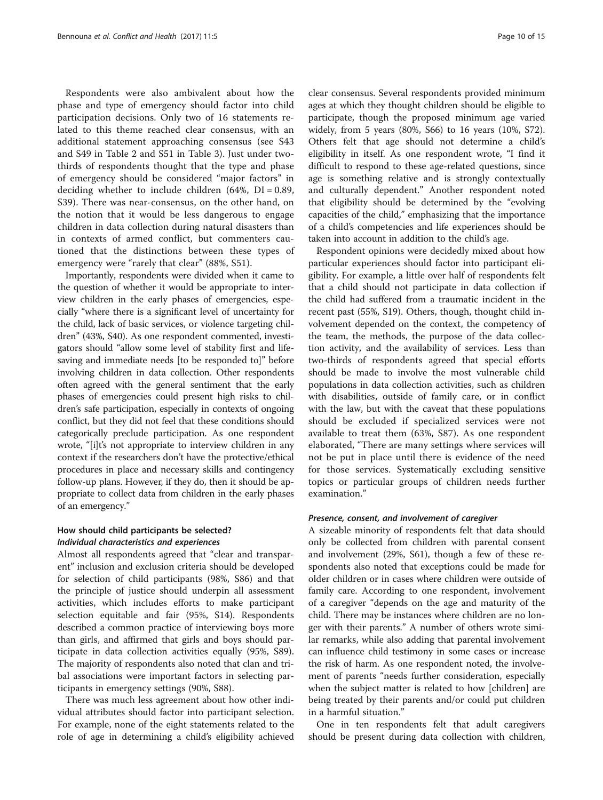Respondents were also ambivalent about how the phase and type of emergency should factor into child participation decisions. Only two of 16 statements related to this theme reached clear consensus, with an additional statement approaching consensus (see S43 and S49 in Table [2](#page-5-0) and S51 in Table [3\)](#page-8-0). Just under twothirds of respondents thought that the type and phase of emergency should be considered "major factors" in deciding whether to include children  $(64\%, \text{DI} = 0.89, \text{C} = 0.69)$ S39). There was near-consensus, on the other hand, on the notion that it would be less dangerous to engage children in data collection during natural disasters than in contexts of armed conflict, but commenters cautioned that the distinctions between these types of emergency were "rarely that clear" (88%, S51).

Importantly, respondents were divided when it came to the question of whether it would be appropriate to interview children in the early phases of emergencies, especially "where there is a significant level of uncertainty for the child, lack of basic services, or violence targeting children" (43%, S40). As one respondent commented, investigators should "allow some level of stability first and lifesaving and immediate needs [to be responded to]" before involving children in data collection. Other respondents often agreed with the general sentiment that the early phases of emergencies could present high risks to children's safe participation, especially in contexts of ongoing conflict, but they did not feel that these conditions should categorically preclude participation. As one respondent wrote, "[i]t's not appropriate to interview children in any context if the researchers don't have the protective/ethical procedures in place and necessary skills and contingency follow-up plans. However, if they do, then it should be appropriate to collect data from children in the early phases of an emergency."

## How should child participants be selected? Individual characteristics and experiences

Almost all respondents agreed that "clear and transparent" inclusion and exclusion criteria should be developed for selection of child participants (98%, S86) and that the principle of justice should underpin all assessment activities, which includes efforts to make participant selection equitable and fair (95%, S14). Respondents described a common practice of interviewing boys more than girls, and affirmed that girls and boys should participate in data collection activities equally (95%, S89). The majority of respondents also noted that clan and tribal associations were important factors in selecting participants in emergency settings (90%, S88).

There was much less agreement about how other individual attributes should factor into participant selection. For example, none of the eight statements related to the role of age in determining a child's eligibility achieved clear consensus. Several respondents provided minimum ages at which they thought children should be eligible to participate, though the proposed minimum age varied widely, from 5 years (80%, S66) to 16 years (10%, S72). Others felt that age should not determine a child's eligibility in itself. As one respondent wrote, "I find it difficult to respond to these age-related questions, since age is something relative and is strongly contextually and culturally dependent." Another respondent noted that eligibility should be determined by the "evolving capacities of the child," emphasizing that the importance of a child's competencies and life experiences should be taken into account in addition to the child's age.

Respondent opinions were decidedly mixed about how particular experiences should factor into participant eligibility. For example, a little over half of respondents felt that a child should not participate in data collection if the child had suffered from a traumatic incident in the recent past (55%, S19). Others, though, thought child involvement depended on the context, the competency of the team, the methods, the purpose of the data collection activity, and the availability of services. Less than two-thirds of respondents agreed that special efforts should be made to involve the most vulnerable child populations in data collection activities, such as children with disabilities, outside of family care, or in conflict with the law, but with the caveat that these populations should be excluded if specialized services were not available to treat them (63%, S87). As one respondent elaborated, "There are many settings where services will not be put in place until there is evidence of the need for those services. Systematically excluding sensitive topics or particular groups of children needs further examination."

## Presence, consent, and involvement of caregiver

A sizeable minority of respondents felt that data should only be collected from children with parental consent and involvement (29%, S61), though a few of these respondents also noted that exceptions could be made for older children or in cases where children were outside of family care. According to one respondent, involvement of a caregiver "depends on the age and maturity of the child. There may be instances where children are no longer with their parents." A number of others wrote similar remarks, while also adding that parental involvement can influence child testimony in some cases or increase the risk of harm. As one respondent noted, the involvement of parents "needs further consideration, especially when the subject matter is related to how [children] are being treated by their parents and/or could put children in a harmful situation."

One in ten respondents felt that adult caregivers should be present during data collection with children,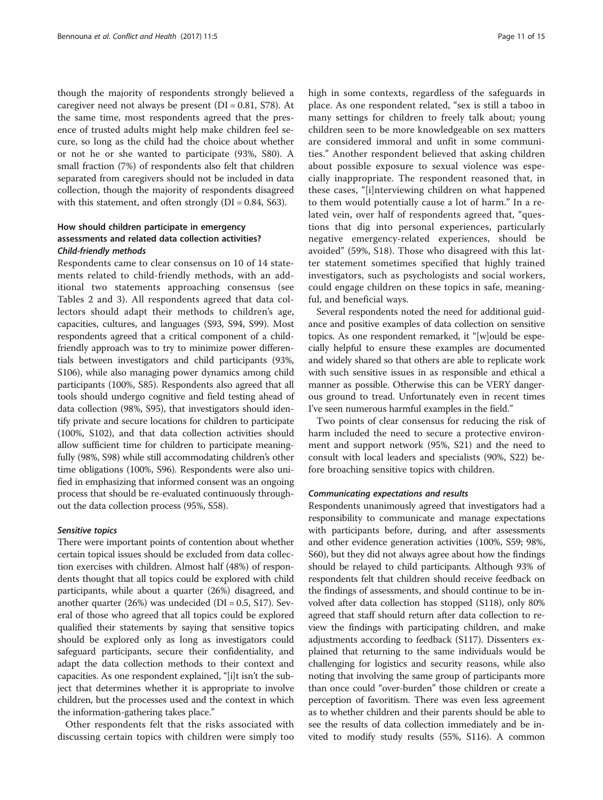though the majority of respondents strongly believed a caregiver need not always be present  $(DI = 0.81, S78)$ . At the same time, most respondents agreed that the presence of trusted adults might help make children feel secure, so long as the child had the choice about whether or not he or she wanted to participate (93%, S80). A small fraction (7%) of respondents also felt that children separated from caregivers should not be included in data collection, though the majority of respondents disagreed with this statement, and often strongly  $(DI = 0.84, S63)$ .

## How should children participate in emergency assessments and related data collection activities? Child-friendly methods

Respondents came to clear consensus on 10 of 14 statements related to child-friendly methods, with an additional two statements approaching consensus (see Tables [2](#page-5-0) and [3\)](#page-8-0). All respondents agreed that data collectors should adapt their methods to children's age, capacities, cultures, and languages (S93, S94, S99). Most respondents agreed that a critical component of a childfriendly approach was to try to minimize power differentials between investigators and child participants (93%, S106), while also managing power dynamics among child participants (100%, S85). Respondents also agreed that all tools should undergo cognitive and field testing ahead of data collection (98%, S95), that investigators should identify private and secure locations for children to participate (100%, S102), and that data collection activities should allow sufficient time for children to participate meaningfully (98%, S98) while still accommodating children's other time obligations (100%, S96). Respondents were also unified in emphasizing that informed consent was an ongoing process that should be re-evaluated continuously throughout the data collection process (95%, S58).

#### Sensitive topics

There were important points of contention about whether certain topical issues should be excluded from data collection exercises with children. Almost half (48%) of respondents thought that all topics could be explored with child participants, while about a quarter (26%) disagreed, and another quarter  $(26%)$  was undecided  $(DI = 0.5, S17)$ . Several of those who agreed that all topics could be explored qualified their statements by saying that sensitive topics should be explored only as long as investigators could safeguard participants, secure their confidentiality, and adapt the data collection methods to their context and capacities. As one respondent explained, "[i]t isn't the subject that determines whether it is appropriate to involve children, but the processes used and the context in which the information-gathering takes place."

Other respondents felt that the risks associated with discussing certain topics with children were simply too high in some contexts, regardless of the safeguards in place. As one respondent related, "sex is still a taboo in many settings for children to freely talk about; young children seen to be more knowledgeable on sex matters are considered immoral and unfit in some communities." Another respondent believed that asking children about possible exposure to sexual violence was especially inappropriate. The respondent reasoned that, in these cases, "[i]nterviewing children on what happened to them would potentially cause a lot of harm." In a related vein, over half of respondents agreed that, "questions that dig into personal experiences, particularly negative emergency-related experiences, should be avoided" (59%, S18). Those who disagreed with this latter statement sometimes specified that highly trained investigators, such as psychologists and social workers, could engage children on these topics in safe, meaningful, and beneficial ways.

Several respondents noted the need for additional guidance and positive examples of data collection on sensitive topics. As one respondent remarked, it "[w]ould be especially helpful to ensure these examples are documented and widely shared so that others are able to replicate work with such sensitive issues in as responsible and ethical a manner as possible. Otherwise this can be VERY dangerous ground to tread. Unfortunately even in recent times I've seen numerous harmful examples in the field."

Two points of clear consensus for reducing the risk of harm included the need to secure a protective environment and support network (95%, S21) and the need to consult with local leaders and specialists (90%, S22) before broaching sensitive topics with children.

#### Communicating expectations and results

Respondents unanimously agreed that investigators had a responsibility to communicate and manage expectations with participants before, during, and after assessments and other evidence generation activities (100%, S59; 98%, S60), but they did not always agree about how the findings should be relayed to child participants. Although 93% of respondents felt that children should receive feedback on the findings of assessments, and should continue to be involved after data collection has stopped (S118), only 80% agreed that staff should return after data collection to review the findings with participating children, and make adjustments according to feedback (S117). Dissenters explained that returning to the same individuals would be challenging for logistics and security reasons, while also noting that involving the same group of participants more than once could "over-burden" those children or create a perception of favoritism. There was even less agreement as to whether children and their parents should be able to see the results of data collection immediately and be invited to modify study results (55%, S116). A common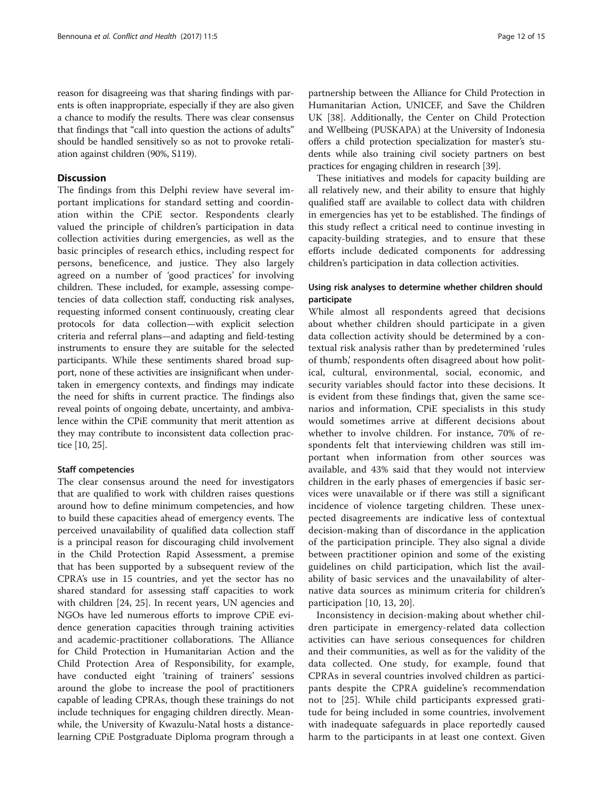reason for disagreeing was that sharing findings with parents is often inappropriate, especially if they are also given a chance to modify the results. There was clear consensus that findings that "call into question the actions of adults" should be handled sensitively so as not to provoke retaliation against children (90%, S119).

#### **Discussion**

The findings from this Delphi review have several important implications for standard setting and coordination within the CPiE sector. Respondents clearly valued the principle of children's participation in data collection activities during emergencies, as well as the basic principles of research ethics, including respect for persons, beneficence, and justice. They also largely agreed on a number of 'good practices' for involving children. These included, for example, assessing competencies of data collection staff, conducting risk analyses, requesting informed consent continuously, creating clear protocols for data collection—with explicit selection criteria and referral plans—and adapting and field-testing instruments to ensure they are suitable for the selected participants. While these sentiments shared broad support, none of these activities are insignificant when undertaken in emergency contexts, and findings may indicate the need for shifts in current practice. The findings also reveal points of ongoing debate, uncertainty, and ambivalence within the CPiE community that merit attention as they may contribute to inconsistent data collection practice [[10](#page-13-0), [25\]](#page-13-0).

#### Staff competencies

The clear consensus around the need for investigators that are qualified to work with children raises questions around how to define minimum competencies, and how to build these capacities ahead of emergency events. The perceived unavailability of qualified data collection staff is a principal reason for discouraging child involvement in the Child Protection Rapid Assessment, a premise that has been supported by a subsequent review of the CPRA's use in 15 countries, and yet the sector has no shared standard for assessing staff capacities to work with children [\[24](#page-13-0), [25](#page-13-0)]. In recent years, UN agencies and NGOs have led numerous efforts to improve CPiE evidence generation capacities through training activities and academic-practitioner collaborations. The Alliance for Child Protection in Humanitarian Action and the Child Protection Area of Responsibility, for example, have conducted eight 'training of trainers' sessions around the globe to increase the pool of practitioners capable of leading CPRAs, though these trainings do not include techniques for engaging children directly. Meanwhile, the University of Kwazulu-Natal hosts a distancelearning CPiE Postgraduate Diploma program through a

partnership between the Alliance for Child Protection in Humanitarian Action, UNICEF, and Save the Children UK [\[38](#page-14-0)]. Additionally, the Center on Child Protection and Wellbeing (PUSKAPA) at the University of Indonesia offers a child protection specialization for master's students while also training civil society partners on best practices for engaging children in research [[39](#page-14-0)].

These initiatives and models for capacity building are all relatively new, and their ability to ensure that highly qualified staff are available to collect data with children in emergencies has yet to be established. The findings of this study reflect a critical need to continue investing in capacity-building strategies, and to ensure that these efforts include dedicated components for addressing children's participation in data collection activities.

## Using risk analyses to determine whether children should participate

While almost all respondents agreed that decisions about whether children should participate in a given data collection activity should be determined by a contextual risk analysis rather than by predetermined 'rules of thumb,' respondents often disagreed about how political, cultural, environmental, social, economic, and security variables should factor into these decisions. It is evident from these findings that, given the same scenarios and information, CPiE specialists in this study would sometimes arrive at different decisions about whether to involve children. For instance, 70% of respondents felt that interviewing children was still important when information from other sources was available, and 43% said that they would not interview children in the early phases of emergencies if basic services were unavailable or if there was still a significant incidence of violence targeting children. These unexpected disagreements are indicative less of contextual decision-making than of discordance in the application of the participation principle. They also signal a divide between practitioner opinion and some of the existing guidelines on child participation, which list the availability of basic services and the unavailability of alternative data sources as minimum criteria for children's participation [[10, 13](#page-13-0), [20](#page-13-0)].

Inconsistency in decision-making about whether children participate in emergency-related data collection activities can have serious consequences for children and their communities, as well as for the validity of the data collected. One study, for example, found that CPRAs in several countries involved children as participants despite the CPRA guideline's recommendation not to [\[25](#page-13-0)]. While child participants expressed gratitude for being included in some countries, involvement with inadequate safeguards in place reportedly caused harm to the participants in at least one context. Given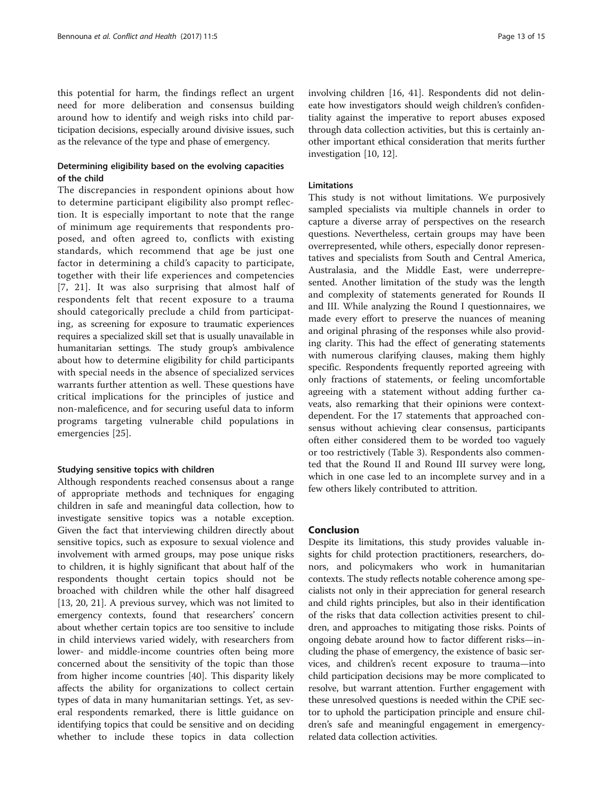this potential for harm, the findings reflect an urgent need for more deliberation and consensus building around how to identify and weigh risks into child participation decisions, especially around divisive issues, such as the relevance of the type and phase of emergency.

## Determining eligibility based on the evolving capacities of the child

The discrepancies in respondent opinions about how to determine participant eligibility also prompt reflection. It is especially important to note that the range of minimum age requirements that respondents proposed, and often agreed to, conflicts with existing standards, which recommend that age be just one factor in determining a child's capacity to participate, together with their life experiences and competencies [[7](#page-13-0), [21\]](#page-13-0). It was also surprising that almost half of respondents felt that recent exposure to a trauma should categorically preclude a child from participating, as screening for exposure to traumatic experiences requires a specialized skill set that is usually unavailable in humanitarian settings. The study group's ambivalence about how to determine eligibility for child participants with special needs in the absence of specialized services warrants further attention as well. These questions have critical implications for the principles of justice and non-maleficence, and for securing useful data to inform programs targeting vulnerable child populations in emergencies [\[25](#page-13-0)].

#### Studying sensitive topics with children

Although respondents reached consensus about a range of appropriate methods and techniques for engaging children in safe and meaningful data collection, how to investigate sensitive topics was a notable exception. Given the fact that interviewing children directly about sensitive topics, such as exposure to sexual violence and involvement with armed groups, may pose unique risks to children, it is highly significant that about half of the respondents thought certain topics should not be broached with children while the other half disagreed [[13, 20, 21\]](#page-13-0). A previous survey, which was not limited to emergency contexts, found that researchers' concern about whether certain topics are too sensitive to include in child interviews varied widely, with researchers from lower- and middle-income countries often being more concerned about the sensitivity of the topic than those from higher income countries [\[40](#page-14-0)]. This disparity likely affects the ability for organizations to collect certain types of data in many humanitarian settings. Yet, as several respondents remarked, there is little guidance on identifying topics that could be sensitive and on deciding whether to include these topics in data collection involving children [\[16](#page-13-0), [41\]](#page-14-0). Respondents did not delineate how investigators should weigh children's confidentiality against the imperative to report abuses exposed through data collection activities, but this is certainly another important ethical consideration that merits further investigation [[10](#page-13-0), [12](#page-13-0)].

#### Limitations

This study is not without limitations. We purposively sampled specialists via multiple channels in order to capture a diverse array of perspectives on the research questions. Nevertheless, certain groups may have been overrepresented, while others, especially donor representatives and specialists from South and Central America, Australasia, and the Middle East, were underrepresented. Another limitation of the study was the length and complexity of statements generated for Rounds II and III. While analyzing the Round I questionnaires, we made every effort to preserve the nuances of meaning and original phrasing of the responses while also providing clarity. This had the effect of generating statements with numerous clarifying clauses, making them highly specific. Respondents frequently reported agreeing with only fractions of statements, or feeling uncomfortable agreeing with a statement without adding further caveats, also remarking that their opinions were contextdependent. For the 17 statements that approached consensus without achieving clear consensus, participants often either considered them to be worded too vaguely or too restrictively (Table [3\)](#page-8-0). Respondents also commented that the Round II and Round III survey were long, which in one case led to an incomplete survey and in a few others likely contributed to attrition.

#### Conclusion

Despite its limitations, this study provides valuable insights for child protection practitioners, researchers, donors, and policymakers who work in humanitarian contexts. The study reflects notable coherence among specialists not only in their appreciation for general research and child rights principles, but also in their identification of the risks that data collection activities present to children, and approaches to mitigating those risks. Points of ongoing debate around how to factor different risks—including the phase of emergency, the existence of basic services, and children's recent exposure to trauma—into child participation decisions may be more complicated to resolve, but warrant attention. Further engagement with these unresolved questions is needed within the CPiE sector to uphold the participation principle and ensure children's safe and meaningful engagement in emergencyrelated data collection activities.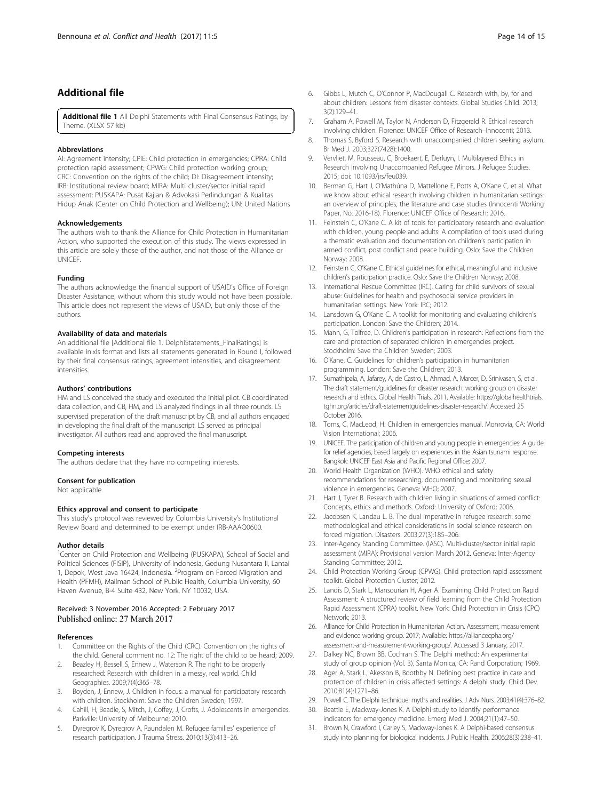## <span id="page-13-0"></span>Additional file

[Additional file 1](dx.doi.org/10.1186/s13031-017-0108-y) All Delphi Statements with Final Consensus Ratings, by Theme. (XLSX 57 kb)

#### Abbreviations

AI: Agreement intensity; CPiE: Child protection in emergencies; CPRA: Child protection rapid assessment; CPWG: Child protection working group; CRC: Convention on the rights of the child; DI: Disagreement intensity; IRB: Institutional review board; MIRA: Multi cluster/sector initial rapid assessment; PUSKAPA: Pusat Kajian & Advokasi Perlindungan & Kualitas Hidup Anak (Center on Child Protection and Wellbeing); UN: United Nations

#### Acknowledgements

The authors wish to thank the Alliance for Child Protection in Humanitarian Action, who supported the execution of this study. The views expressed in this article are solely those of the author, and not those of the Alliance or UNICEF.

#### Funding

The authors acknowledge the financial support of USAID's Office of Foreign Disaster Assistance, without whom this study would not have been possible. This article does not represent the views of USAID, but only those of the authors.

#### Availability of data and materials

An additional file [Additional file 1. DelphiStatements\_FinalRatings] is available in.xls format and lists all statements generated in Round I, followed by their final consensus ratings, agreement intensities, and disagreement intensities.

#### Authors' contributions

HM and LS conceived the study and executed the initial pilot. CB coordinated data collection, and CB, HM, and LS analyzed findings in all three rounds. LS supervised preparation of the draft manuscript by CB, and all authors engaged in developing the final draft of the manuscript. LS served as principal investigator. All authors read and approved the final manuscript.

#### Competing interests

The authors declare that they have no competing interests.

#### Consent for publication

Not applicable.

#### Ethics approval and consent to participate

This study's protocol was reviewed by Columbia University's Institutional Review Board and determined to be exempt under IRB-AAAQ0600.

#### Author details

<sup>1</sup>Center on Child Protection and Wellbeing (PUSKAPA), School of Social and Political Sciences (FISIP), University of Indonesia, Gedung Nusantara II, Lantai 1, Depok, West Java 16424, Indonesia. <sup>2</sup>Program on Forced Migration and Health (PFMH), Mailman School of Public Health, Columbia University, 60 Haven Avenue, B-4 Suite 432, New York, NY 10032, USA.

# Received: 3 November 2016 Accepted: 2 February 2017

#### References

- 1. Committee on the Rights of the Child (CRC). Convention on the rights of the child. General comment no. 12: The right of the child to be heard; 2009.
- 2. Beazley H, Bessell S, Ennew J, Waterson R. The right to be properly researched: Research with children in a messy, real world. Child Geographies. 2009;7(4):365–78.
- 3. Boyden, J, Ennew, J. Children in focus: a manual for participatory research with children. Stockholm: Save the Children Sweden; 1997.
- 4. Cahill, H, Beadle, S, Mitch, J, Coffey, J, Crofts, J. Adolescents in emergencies. Parkville: University of Melbourne; 2010.
- 5. Dyregrov K, Dyregrov A, Raundalen M. Refugee families' experience of research participation. J Trauma Stress. 2010;13(3):413–26.
- 6. Gibbs L, Mutch C, O'Connor P, MacDougall C. Research with, by, for and about children: Lessons from disaster contexts. Global Studies Child. 2013; 3(2):129–41.
- 7. Graham A, Powell M, Taylor N, Anderson D, Fitzgerald R. Ethical research involving children. Florence: UNICEF Office of Research–Innocenti; 2013.
- 8. Thomas S, Byford S. Research with unaccompanied children seeking asylum. Br Med J. 2003;327(7428):1400.
- 9. Vervliet, M, Rousseau, C, Broekaert, E, Derluyn, I. Multilayered Ethics in Research Involving Unaccompanied Refugee Minors. J Refugee Studies. 2015; doi: [10.1093/jrs/feu039](http://dx.doi.org/10.1093/jrs/feu039).
- 10. Berman G, Hart J, O'Mathúna D, Mattellone E, Potts A, O'Kane C, et al. What we know about ethical research involving children in humanitarian settings: an overview of principles, the literature and case studies (Innocenti Working Paper, No. 2016-18). Florence: UNICEF Office of Research; 2016.
- 11. Feinstein C, O'Kane C. A kit of tools for participatory research and evaluation with children, young people and adults: A compilation of tools used during a thematic evaluation and documentation on children's participation in armed conflict, post conflict and peace building. Oslo: Save the Children Norway; 2008.
- 12. Feinstein C, O'Kane C. Ethical guidelines for ethical, meaningful and inclusive children's participation practice. Oslo: Save the Children Norway; 2008.
- 13. International Rescue Committee (IRC). Caring for child survivors of sexual abuse: Guidelines for health and psychosocial service providers in humanitarian settings. New York: IRC; 2012.
- 14. Lansdown G, O'Kane C. A toolkit for monitoring and evaluating children's participation. London: Save the Children; 2014.
- 15. Mann, G, Tolfree, D. Children's participation in research: Reflections from the care and protection of separated children in emergencies project. Stockholm: Save the Children Sweden; 2003.
- 16. O'Kane, C. Guidelines for children's participation in humanitarian programming. London: Save the Children; 2013.
- 17. Sumathipala, A, Jafarey, A, de Castro, L, Ahmad, A, Marcer, D, Srinivasan, S, et al. The draft statement/guidelines for disaster research, working group on disaster research and ethics. Global Health Trials. 2011, Available: [https://globalhealthtrials.](https://globalhealthtrials.tghn.org/articles/draft-statementguidelines-disaster-research/) [tghn.org/articles/draft-statementguidelines-disaster-research/](https://globalhealthtrials.tghn.org/articles/draft-statementguidelines-disaster-research/). Accessed 25 October 2016.
- 18. Toms, C, MacLeod, H. Children in emergencies manual. Monrovia, CA: World Vision International; 2006.
- 19. UNICEF. The participation of children and young people in emergencies: A guide for relief agencies, based largely on experiences in the Asian tsunami response. Bangkok: UNICEF East Asia and Pacific Regional Office; 2007.
- 20. World Health Organization (WHO). WHO ethical and safety recommendations for researching, documenting and monitoring sexual violence in emergencies. Geneva: WHO; 2007.
- 21. Hart J, Tyrer B. Research with children living in situations of armed conflict: Concepts, ethics and methods. Oxford: University of Oxford; 2006.
- 22. Jacobsen K, Landau L. B. The dual imperative in refugee research: some methodological and ethical considerations in social science research on forced migration. Disasters. 2003;27(3):185–206.
- 23. Inter-Agency Standing Committee. (IASC). Multi-cluster/sector initial rapid assessment (MIRA): Provisional version March 2012. Geneva: Inter-Agency Standing Committee; 2012.
- 24. Child Protection Working Group (CPWG). Child protection rapid assessment toolkit. Global Protection Cluster; 2012.
- 25. Landis D, Stark L, Mansourian H, Ager A. Examining Child Protection Rapid Assessment: A structured review of field learning from the Child Protection Rapid Assessment (CPRA) toolkit. New York: Child Protection in Crisis (CPC) Network; 2013.
- 26. Alliance for Child Protection in Humanitarian Action. Assessment, measurement and evidence working group. 2017; Available: [https://alliancecpha.org/](https://alliancecpha.org/assessment-and-measurement-working-group/) [assessment-and-measurement-working-group/](https://alliancecpha.org/assessment-and-measurement-working-group/). Accessed 3 January, 2017.
- 27. Dalkey NC, Brown BB, Cochran S. The Delphi method: An experimental study of group opinion (Vol. 3). Santa Monica, CA: Rand Corporation; 1969.
- 28. Ager A, Stark L, Akesson B, Boothby N. Defining best practice in care and protection of children in crisis affected settings: A delphi study. Child Dev. 2010;81(4):1271–86.
- 29. Powell C. The Delphi technique: myths and realities. J Adv Nurs. 2003;41(4):376–82.
- 30. Beattie E, Mackway-Jones K. A Delphi study to identify performance indicators for emergency medicine. Emerg Med J. 2004;21(1):47–50.
- 31. Brown N, Crawford I, Carley S, Mackway-Jones K. A Delphi-based consensus study into planning for biological incidents. J Public Health. 2006;28(3):238–41.